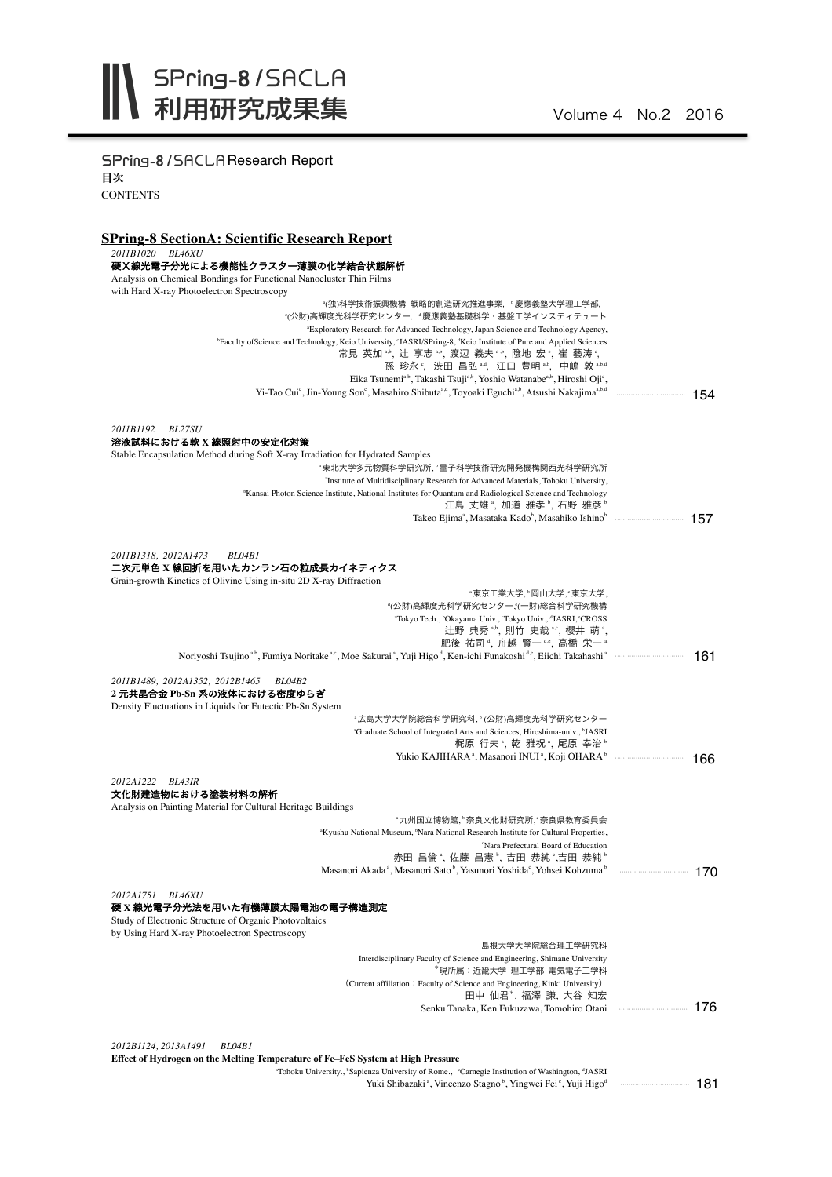SPring-8/SACLAResearch Report 目次 **CONTENTS** 

## **SPring-8 SectionA: Scientific Research Report**

*2011B1020 BL46XU*

| 硬X線光電子分光による機能性クラスター薄膜の化学結合状態解析                                                                                                                                                           |     |
|------------------------------------------------------------------------------------------------------------------------------------------------------------------------------------------|-----|
| Analysis on Chemical Bondings for Functional Nanocluster Thin Films                                                                                                                      |     |
| with Hard X-ray Photoelectron Spectroscopy<br>*(独)科学技術振興機構 戦略的創造研究推進事業,"慶應義塾大学理工学部,                                                                                                      |     |
| "(公財)高輝度光科学研究センター, "慶應義塾基礎科学·基盤工学インスティテュート                                                                                                                                               |     |
| "Exploratory Research for Advanced Technology, Japan Science and Technology Agency,                                                                                                      |     |
| <sup>b</sup> Faculty of Science and Technology, Keio University, 'JASRI/SPring-8, <sup>d</sup> Keio Institute of Pure and Applied Sciences                                               |     |
| 常見 英加 **, 辻 享志 **, 渡辺 義夫 **, 陰地 宏 °, 崔 藝涛 °,                                                                                                                                             |     |
| 孫 珍永°, 渋田 昌弘 <sup>a.4</sup> , 江口 豊明 a.b, 中嶋 敦 a.b.d                                                                                                                                      |     |
| Eika Tsunemi <sup>a,b</sup> , Takashi Tsuji <sup>a,b</sup> , Yoshio Watanabe <sup>a,b</sup> , Hiroshi Oji <sup>c</sup> ,                                                                 |     |
| Yi-Tao Cui <sup>c</sup> , Jin-Young Son <sup>c</sup> , Masahiro Shibuta <sup>a,d</sup> , Toyoaki Eguchi <sup>a,b</sup> , Atsushi Nakajima <sup>a,b,d</sup>                               | 154 |
|                                                                                                                                                                                          |     |
| 2011B1192<br><b>BL27SU</b>                                                                                                                                                               |     |
| 溶液試料における軟 X 線照射中の安定化対策                                                                                                                                                                   |     |
| Stable Encapsulation Method during Soft X-ray Irradiation for Hydrated Samples                                                                                                           |     |
| "東北大学多元物質科学研究所,"量子科学技術研究開発機構関西光科学研究所                                                                                                                                                     |     |
| <sup>a</sup> Institute of Multidisciplinary Research for Advanced Materials, Tohoku University,                                                                                          |     |
| <sup>b</sup> Kansai Photon Science Institute, National Institutes for Quantum and Radiological Science and Technology<br>江島 丈雄*, 加道 雅孝*, 石野 雅彦*                                          |     |
|                                                                                                                                                                                          |     |
|                                                                                                                                                                                          |     |
|                                                                                                                                                                                          |     |
| 2011B1318, 2012A1473<br>BL04B1                                                                                                                                                           |     |
| 二次元単色 X 線回折を用いたカンラン石の粒成長カイネティクス                                                                                                                                                          |     |
| Grain-growth Kinetics of Olivine Using in-situ 2D X-ray Diffraction                                                                                                                      |     |
| "東京工業大学, "岡山大学,"東京大学,<br>"(公財)高輝度光科学研究センター,"(一財)総合科学研究機構                                                                                                                                 |     |
| "Tokyo Tech., "Okayama Univ., 'Tokyo Univ., "JASRI, "CROSS                                                                                                                               |     |
| 辻野 典秀 **, 則竹 史哉 **, 櫻井 萌 *,                                                                                                                                                              |     |
| 肥後 祐司 4, 舟越 賢一 4。,高橋 栄一 *                                                                                                                                                                |     |
| Noriyoshi Tsujino <sup>a,b</sup> , Fumiya Noritake <sup>a,c</sup> , Moe Sakurai <sup>a</sup> , Yuji Higo <sup>d</sup> , Ken-ichi Funakoshi <sup>de</sup> , Eiichi Takahashi <sup>a</sup> | 161 |
|                                                                                                                                                                                          |     |
| 2011B1489, 2012A1352, 2012B1465<br><b>BL04B2</b><br>2 元共晶合金 Pb-Sn 系の液体における密度ゆらぎ                                                                                                          |     |
| Density Fluctuations in Liquids for Eutectic Pb-Sn System                                                                                                                                |     |
| "広島大学大学院総合科学研究科," (公財)高輝度光科学研究センター                                                                                                                                                       |     |
| <sup>a</sup> Graduate School of Integrated Arts and Sciences, Hiroshima-univ., <sup>b</sup> JASRI                                                                                        |     |
| 梶原 行夫 ",乾 雅祝 ",尾原 幸治 "                                                                                                                                                                   |     |
| Yukio KAJIHARA <sup>ª</sup> , Masanori INUI <sup>ª</sup> , Koji OHARA <sup>b</sup>                                                                                                       | 166 |
| 2012A1222<br>BL43IR                                                                                                                                                                      |     |
| 文化財建造物における塗装材料の解析                                                                                                                                                                        |     |
| Analysis on Painting Material for Cultural Heritage Buildings                                                                                                                            |     |
| ·九州国立博物館, · 奈良文化財研究所, · 奈良県教育委員会                                                                                                                                                         |     |
| "Kyushu National Museum, "Nara National Research Institute for Cultural Properties,                                                                                                      |     |
| 'Nara Prefectural Board of Education                                                                                                                                                     |     |
| 赤田 昌倫 ª, 佐藤 昌憲 º, 吉田 恭純 º,吉田 恭純 º<br>Masanori Akada <sup>a</sup> , Masanori Sato <sup>b</sup> , Yasunori Yoshida <sup>c</sup> , Yohsei Kohzuma <sup>b</sup>                              |     |
|                                                                                                                                                                                          |     |
| 2012A1751 BL46XU                                                                                                                                                                         |     |
| 硬 X 線光電子分光法を用いた有機薄膜太陽電池の電子構造測定                                                                                                                                                           |     |
| Study of Electronic Structure of Organic Photovoltaics                                                                                                                                   |     |
| by Using Hard X-ray Photoelectron Spectroscopy                                                                                                                                           |     |
| 島根大学大学院総合理工学研究科                                                                                                                                                                          |     |
| Interdisciplinary Faculty of Science and Engineering, Shimane University                                                                                                                 |     |
| *現所属:近畿大学 理工学部 電気電子工学科                                                                                                                                                                   |     |
| (Current affiliation: Faculty of Science and Engineering, Kinki University)                                                                                                              |     |
| 田中 仙君*, 福澤 謙, 大谷 知宏                                                                                                                                                                      |     |
| Senku Tanaka, Ken Fukuzawa, Tomohiro Otani                                                                                                                                               |     |
|                                                                                                                                                                                          |     |

*2012B1124, 2013A1491 BL04B1*

**Effect of Hydrogen on the Melting Temperature of Fe**‒**FeS System at High Pressure**

"Tohoku University., "Sapienza University of Rome., "Carnegie Institution of Washington, "JASRI"<br>Nuki Shibazaki ", Vincenzo Stagno ", Yingwei Fei ", Yuji Higo" ・・・・・・・・・・・・・・・・・・・・・・・・・・・・・・・・・ 181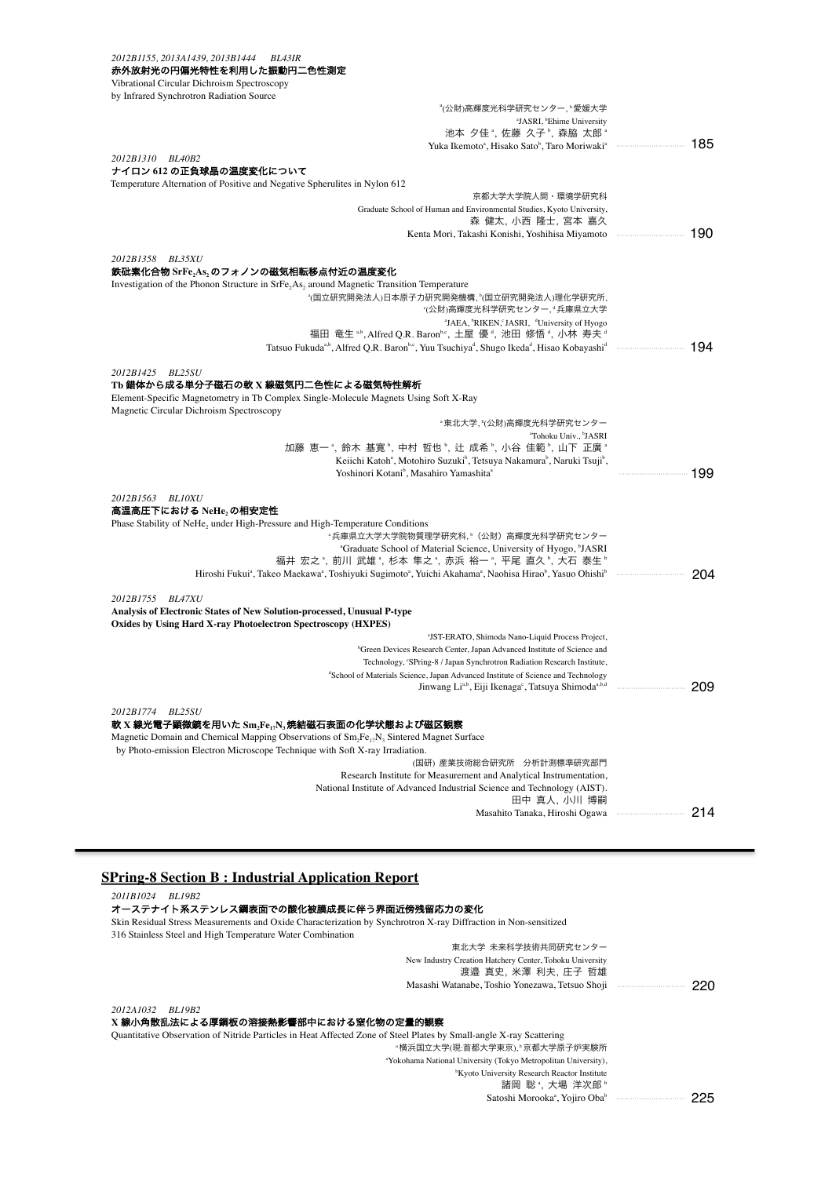| 2012B1155, 2013A1439, 2013B1444<br><b>BL43IR</b><br>赤外放射光の円偏光特性を利用した振動円二色性測定                                                                                                       |     |
|------------------------------------------------------------------------------------------------------------------------------------------------------------------------------------|-----|
| Vibrational Circular Dichroism Spectroscopy                                                                                                                                        |     |
| by Infrared Synchrotron Radiation Source                                                                                                                                           |     |
| <sup>a</sup> (公財)高輝度光科学研究センター, <sup>。</sup> 愛媛大学                                                                                                                                   |     |
| <sup>a</sup> JASRI, <sup>b</sup> Ehime University<br>池本 夕佳 *, 佐藤 久子 *, 森脇 太郎 *                                                                                                     |     |
| Yuka Ikemoto <sup>a</sup> , Hisako Sato <sup>b</sup> , Taro Moriwaki <sup>a</sup> memberutakan 185                                                                                 |     |
| 2012B1310 BL40B2                                                                                                                                                                   |     |
| ナイロン 612 の正負球晶の温度変化について                                                                                                                                                            |     |
| Temperature Alternation of Positive and Negative Spherulites in Nylon 612<br>京都大学大学院人間・環境学研究科                                                                                      |     |
| Graduate School of Human and Environmental Studies, Kyoto University,                                                                                                              |     |
| 森 健太, 小西 隆士, 宮本 嘉久                                                                                                                                                                 |     |
|                                                                                                                                                                                    |     |
| 2012B1358<br>BL35XU                                                                                                                                                                |     |
| 鉄砒素化合物 SrFe <sub>2</sub> As <sub>2</sub> のフォノンの磁気相転移点付近の温度変化                                                                                                                       |     |
| Investigation of the Phonon Structure in SrFe <sub>2</sub> As <sub>2</sub> around Magnetic Transition Temperature                                                                  |     |
| "(国立研究開発法人)日本原子力研究開発機構, "(国立研究開発法人)理化学研究所,<br>"(公財)高輝度光科学研究センター, ª兵庫県立大学                                                                                                           |     |
| <sup>a</sup> JAEA, <sup>b</sup> RIKEN, JASRI, <sup>d</sup> University of Hyogo                                                                                                     |     |
| 福田 竜生 *b, Alfred Q.R. Baronbs, 土屋 優 4, 池田 修悟 4, 小林 寿夫 4                                                                                                                            |     |
|                                                                                                                                                                                    |     |
| 2012B1425 BL25SU                                                                                                                                                                   |     |
| Tb 錯体から成る単分子磁石の軟 X 線磁気円二色性による磁気特性解析                                                                                                                                                |     |
| Element-Specific Magnetometry in Tb Complex Single-Molecule Magnets Using Soft X-Ray                                                                                               |     |
| Magnetic Circular Dichroism Spectroscopy                                                                                                                                           |     |
| "東北大学, "(公財)高輝度光科学研究センター<br><sup>a</sup> Tohoku Univ., <sup>b</sup> JASRI                                                                                                          |     |
| 加藤 恵一 ", 鈴木 基寛 <sup>b</sup> , 中村 哲也 <sup>b</sup> , 辻 成希 <sup>b</sup> , 小谷 佳範 <sup>b</sup> , 山下 正廣 "                                                                                |     |
| Keiichi Katoh <sup>a</sup> , Motohiro Suzuki <sup>b</sup> , Tetsuya Nakamura <sup>b</sup> , Naruki Tsuji <sup>b</sup> ,                                                            |     |
| Yoshinori Kotani <sup>b</sup> , Masahiro Yamashita <sup>a</sup>                                                                                                                    |     |
| 2012B1563 BL10XU                                                                                                                                                                   |     |
| 高温高圧下における NeHe,の相安定性                                                                                                                                                               |     |
| Phase Stability of NeHe <sub>2</sub> under High-Pressure and High-Temperature Conditions<br>·兵庫県立大学大学院物質理学研究科, <sup>。</sup> (公財)高輝度光科学研究センター                                       |     |
| <sup>a</sup> Graduate School of Material Science, University of Hyogo, <sup>b</sup> JASRI                                                                                          |     |
| 福井 宏之 ै, 前川 武雄 ゚, 杉本 隼之 ゚, 赤浜 裕一 ゚, 平尾 直久 ゚, 大石 泰生 ゚                                                                                                                               |     |
| Hiroshi Fukui <sup>a</sup> , Takeo Maekawa <sup>a</sup> , Toshiyuki Sugimoto <sup>a</sup> , Yuichi Akahama <sup>a</sup> , Naohisa Hirao <sup>b</sup> , Yasuo Ohishib mammummammamm | 204 |
| 2012B1755 BL47XU                                                                                                                                                                   |     |
| Analysis of Electronic States of New Solution-processed, Unusual P-type                                                                                                            |     |
| Oxides by Using Hard X-ray Photoelectron Spectroscopy (HXPES)                                                                                                                      |     |
| <sup>a</sup> JST-ERATO, Shimoda Nano-Liquid Process Project,                                                                                                                       |     |
| <sup>b</sup> Green Devices Research Center, Japan Advanced Institute of Science and<br>Technology, 'SPring-8 / Japan Synchrotron Radiation Research Institute,                     |     |
| <sup>d</sup> School of Materials Science, Japan Advanced Institute of Science and Technology                                                                                       |     |
|                                                                                                                                                                                    | 209 |
|                                                                                                                                                                                    |     |
| 2012B1774<br>BL25SU<br>軟 X 線光電子顕微鏡を用いた Sm,Fe,,N,焼結磁石表面の化学状態および磁区観察                                                                                                                 |     |
| Magnetic Domain and Chemical Mapping Observations of $Sm_2Fe_{17}N_3$ Sintered Magnet Surface                                                                                      |     |
| by Photo-emission Electron Microscope Technique with Soft X-ray Irradiation.                                                                                                       |     |
| (国研) 産業技術総合研究所 分析計測標準研究部門                                                                                                                                                          |     |
| Research Institute for Measurement and Analytical Instrumentation,<br>National Institute of Advanced Industrial Science and Technology (AIST).                                     |     |
| 田中 真人, 小川 博嗣                                                                                                                                                                       |     |
|                                                                                                                                                                                    | 214 |
|                                                                                                                                                                                    |     |

## **SPring-8 Section B : Industrial Application Report**

*2011B1024 BL19B2*

## オーステナイト系ステンレス鋼表面での酸化被膜成長に伴う界面近傍残留応力の変化

Skin Residual Stress Measurements and Oxide Characterization by Synchrotron X-ray Diffraction in Non-sensitized

| 316 Stainless Steel and High Temperature Water Combination                                                          |                                                                                 |      |
|---------------------------------------------------------------------------------------------------------------------|---------------------------------------------------------------------------------|------|
|                                                                                                                     | 東北大学 未来科学技術共同研究センター                                                             |      |
|                                                                                                                     | New Industry Creation Hatchery Center, Tohoku University<br>渡邉 真史, 米澤 利夫, 庄子 哲雄 |      |
|                                                                                                                     |                                                                                 | -220 |
| 2012A1032<br><i>BL19B2</i>                                                                                          |                                                                                 |      |
| <b>X線小角散乱法による厚鋼板の溶接熱影響部中における窒化物の定量的観察</b>                                                                           |                                                                                 |      |
| Quantitative Observation of Nitride Particles in Heat Affected Zone of Steel Plates by Small-angle X-ray Scattering |                                                                                 |      |

# 2012A<br>**X 線小**

Quantitative Observation of Nitride Particles in Heat Affected Zone of Steel Plates by Small-angle X-ray Scattering 。<br>横浜国立大学(現:首都大学東京), 京都大学原子炉実験所 a Yokohama National University (Tokyo Metropolitan University),  $^{\text{b}}$ Kyoto University Research Reactor Institute<br>諸岡 聡  $^{\text{a}}$ ,大場 洋次郎  $^{\text{b}}$ Satoshi Morooka<sup>a</sup> , Yojiro Oba<sup>b</sup> ・・・・・・・・・・・・・・・・・・・・・・・・・・・・・・・・・ 225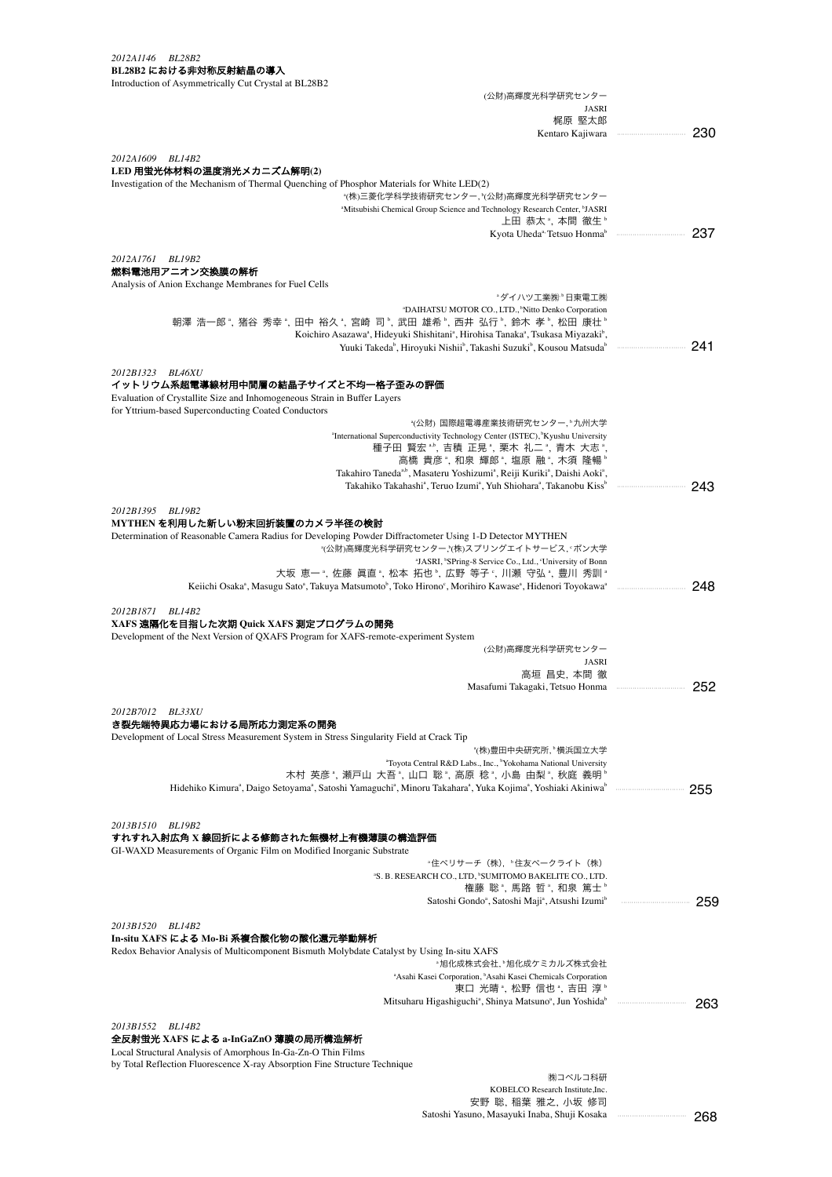#### *2012A1146 BL28B2* **BL28B2** における非対称反射結晶の導入

| Introduction of Asymmetrically Cut Crystal at BL28B2                                                                                                                             |         |
|----------------------------------------------------------------------------------------------------------------------------------------------------------------------------------|---------|
| (公財)高輝度光科学研究センター                                                                                                                                                                 |         |
| JASRI<br>梶原 堅太郎                                                                                                                                                                  |         |
| Kentaro Kajiwara                                                                                                                                                                 | 230<br> |
|                                                                                                                                                                                  |         |
| 2012A1609 BL14B2                                                                                                                                                                 |         |
| LED 用蛍光体材料の温度消光メカニズム解明(2)<br>Investigation of the Mechanism of Thermal Quenching of Phosphor Materials for White LED(2)                                                          |         |
| *(株)三菱化学科学技術研究センター, *(公財)高輝度光科学研究センター                                                                                                                                            |         |
| <sup>a</sup> Mitsubishi Chemical Group Science and Technology Research Center, <sup>b</sup> JASRI                                                                                |         |
| 上田 恭太 ゚, 本間 徹生 ゚                                                                                                                                                                 |         |
| Kyota Uheda <sup>a,</sup> Tetsuo Honma <sup>b</sup>                                                                                                                              |         |
| 2012A1761 BL19B2                                                                                                                                                                 |         |
| 燃料電池用アニオン交換膜の解析                                                                                                                                                                  |         |
| Analysis of Anion Exchange Membranes for Fuel Cells                                                                                                                              |         |
| ·ダイハツ工業(株) <sup></sup> ·日東電工(株)<br><sup>a</sup> DAIHATSU MOTOR CO., LTD., <sup>b</sup> Nitto Denko Corporation                                                                   |         |
| 朝澤 浩一郎", 猪谷 秀幸", 田中 裕久", 宮崎 司", 武田 雄希", 西井 弘行", 鈴木 孝", 松田 康壮"                                                                                                                    |         |
| Koichiro Asazawa <sup>a</sup> , Hideyuki Shishitani <sup>a</sup> , Hirohisa Tanaka <sup>a</sup> , Tsukasa Miyazaki <sup>b</sup> ,                                                |         |
| Yuuki Takeda <sup>b</sup> , Hiroyuki Nishii <sup>b</sup> , Takashi Suzuki <sup>b</sup> , Kousou Matsuda <sup>b</sup>                                                             | 241     |
| 2012B1323 BL46XU                                                                                                                                                                 |         |
| イットリウム系超電導線材用中間層の結晶子サイズと不均一格子歪みの評価                                                                                                                                               |         |
| Evaluation of Crystallite Size and Inhomogeneous Strain in Buffer Layers                                                                                                         |         |
| for Yttrium-based Superconducting Coated Conductors                                                                                                                              |         |
| *(公財) 国際超電導産業技術研究センター, ゚九州大学                                                                                                                                                     |         |
| "International Superconductivity Technology Center (ISTEC), 'Kyushu University<br>種子田 賢宏 **, 吉積 正晃 *, 栗木 礼二 *, 青木 大志 *,                                                          |         |
| 高橋 貴彦 ", 和泉 輝郎 ", 塩原 融 ", 木須 隆暢 "                                                                                                                                                |         |
| Takahiro Taneda <sup>a,b</sup> , Masateru Yoshizumi <sup>a</sup> , Reiji Kuriki <sup>a</sup> , Daishi Aoki <sup>a</sup> ,                                                        |         |
| Takahiko Takahashi <sup>a</sup> , Teruo Izumi <sup>a</sup> , Yuh Shiohara <sup>a</sup> , Takanobu Kiss <sup>b</sup>                                                              | 243     |
| 2012B1395 BL19B2                                                                                                                                                                 |         |
| MYTHEN を利用した新しい粉末回折装置のカメラ半径の検討                                                                                                                                                   |         |
| Determination of Reasonable Camera Radius for Developing Powder Diffractometer Using 1-D Detector MYTHEN                                                                         |         |
| "(公財)高輝度光科学研究センター,"(株)スプリングエイトサービス, 『ボン大学                                                                                                                                        |         |
| <sup>a</sup> JASRI, <sup>b</sup> SPring-8 Service Co., Ltd., <sup>c</sup> University of Bonn<br>大坂 恵一", 佐藤 眞直", 松本 拓也", 広野 等子", 川瀬 守弘", 豊川 秀訓"                                   |         |
| Keiichi Osaka <sup>a</sup> , Masugu Sato <sup>a</sup> , Takuya Matsumoto <sup>b</sup> , Toko Hirono <sup>c</sup> , Morihiro Kawase <sup>a</sup> , Hidenori Toyokawa <sup>a</sup> | 248     |
|                                                                                                                                                                                  |         |
| 2012B1871 BL14B2                                                                                                                                                                 |         |
| XAFS 遠隔化を目指した次期 Quick XAFS 測定プログラムの開発<br>Development of the Next Version of QXAFS Program for XAFS-remote-experiment System                                                      |         |
| (公財)高輝度光科学研究センター                                                                                                                                                                 |         |
| JASRI                                                                                                                                                                            |         |
| 高垣 昌史, 本間 徹                                                                                                                                                                      |         |
| Masafumi Takagaki, Tetsuo Honma                                                                                                                                                  | 252     |
| 2012B7012 BL33XU                                                                                                                                                                 |         |
| き裂先端特異応力場における局所応力測定系の開発                                                                                                                                                          |         |
| Development of Local Stress Measurement System in Stress Singularity Field at Crack Tip                                                                                          |         |
| *(株)豊田中央研究所, *横浜国立大学<br>"Toyota Central R&D Labs., Inc., <sup>b</sup> Yokohama National University                                                                               |         |
| 木村 英彦 ", 瀬戸山 大吾 ", 山口 聡 ", 高原 稔 ", 小島 由梨 ", 秋庭 義明 "                                                                                                                              |         |
|                                                                                                                                                                                  | 255     |
|                                                                                                                                                                                  |         |
|                                                                                                                                                                                  |         |
| 2013B1510 BL19B2<br>すれすれ入射広角 X 線回折による修飾された無機材上有機薄膜の構造評価                                                                                                                          |         |
| GI-WAXD Measurements of Organic Film on Modified Inorganic Substrate                                                                                                             |         |
| "住べリサーチ(株),"住友ベークライト(株)                                                                                                                                                          |         |
| <sup>a</sup> S. B. RESEARCH CO., LTD, <sup>b</sup> SUMITOMO BAKELITE CO., LTD.                                                                                                   |         |
| 権藤 聡ª, 馬路 哲ª, 和泉 篤士º<br>Satoshi Gondo <sup>a</sup> , Satoshi Maji <sup>a</sup> , Atsushi Izumi <sup>b</sup>                                                                      | 259     |
|                                                                                                                                                                                  |         |
| 2013B1520<br>BL14B2                                                                                                                                                              |         |
| In-situ XAFS による Mo-Bi 系複合酸化物の酸化還元挙動解析                                                                                                                                           |         |
| Redox Behavior Analysis of Multicomponent Bismuth Molybdate Catalyst by Using In-situ XAFS<br>*旭化成株式会社,*旭化成ケミカルズ株式会社                                                             |         |
| <sup>a</sup> Asahi Kasei Corporation, <sup>b</sup> Asahi Kasei Chemicals Corporation                                                                                             |         |
| 東口 光晴", 松野 信也", 吉田 淳"                                                                                                                                                            |         |
| Mitsuharu Higashiguchi <sup>a</sup> , Shinya Matsuno <sup>a</sup> , Jun Yoshida <sup>b</sup>                                                                                     | 263     |
| 2013B1552 BL14B2                                                                                                                                                                 |         |
| 全反射蛍光 XAFS による a-InGaZnO 薄膜の局所構造解析                                                                                                                                               |         |
| Local Structural Analysis of Amorphous In-Ga-Zn-O Thin Films                                                                                                                     |         |

by Total Reflection Fluorescence X-ray Absorption Fine Structure Technique

㈱コベルコ科研 KOBELCO Research Institute,Inc. 安野 聡, 稲葉 雅之, 小坂 修司 Satoshi Yasuno, Masayuki Inaba, Shuji Kosaka

・・・・・・・・・・・・・・・・・・・・・・・・・・・・・・・・・ 268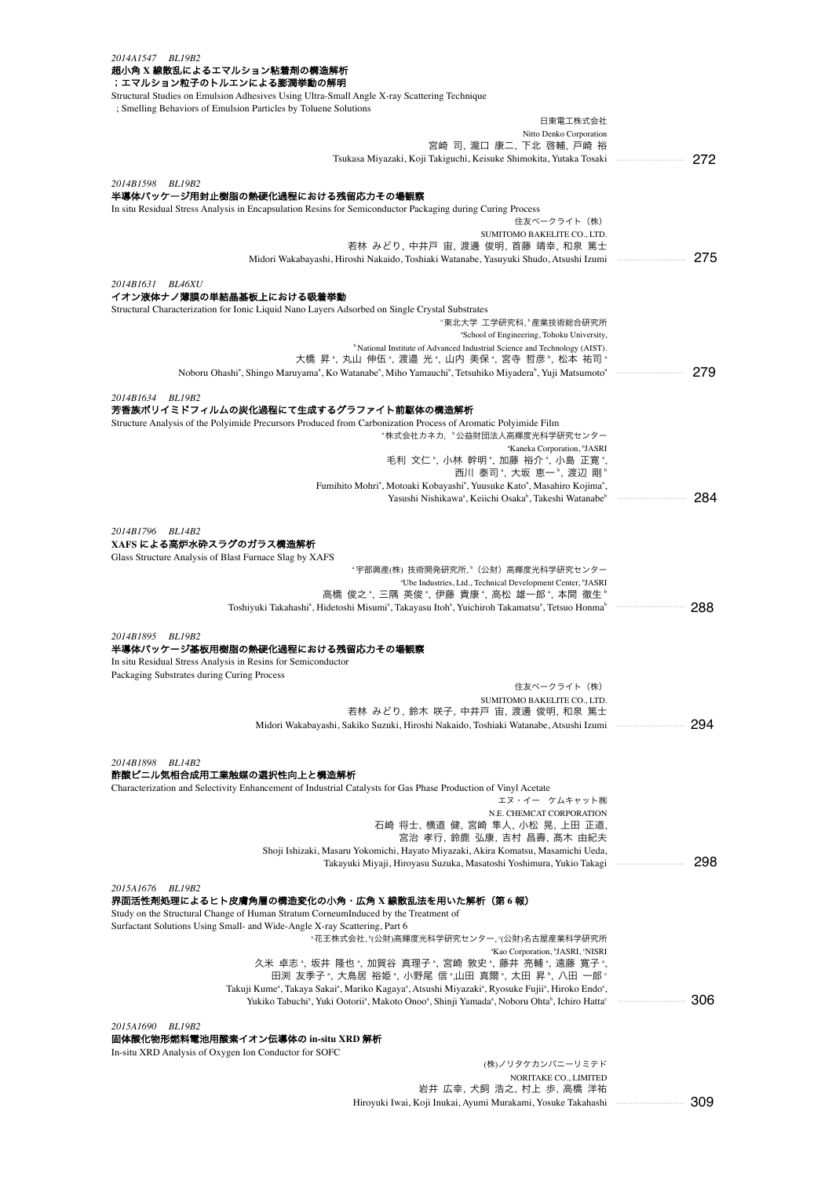| 2014A1547 BL19B2<br>超小角 X 線散乱によるエマルション粘着剤の構造解析                                                                                                                                                                                                                                                                                                        |         |
|-------------------------------------------------------------------------------------------------------------------------------------------------------------------------------------------------------------------------------------------------------------------------------------------------------------------------------------------------------|---------|
| ;エマルション粒子のトルエンによる膨潤挙動の解明                                                                                                                                                                                                                                                                                                                              |         |
| Structural Studies on Emulsion Adhesives Using Ultra-Small Angle X-ray Scattering Technique<br>; Smelling Behaviors of Emulsion Particles by Toluene Solutions                                                                                                                                                                                        |         |
| 日東電工株式会社                                                                                                                                                                                                                                                                                                                                              |         |
| Nitto Denko Corporation<br>宮崎 司, 瀧口 康二, 下北 啓輔, 戸崎 裕                                                                                                                                                                                                                                                                                                   |         |
| Tsukasa Miyazaki, Koji Takiguchi, Keisuke Shimokita, Yutaka Tosaki                                                                                                                                                                                                                                                                                    | 272     |
| 2014B1598 BL19B2                                                                                                                                                                                                                                                                                                                                      |         |
| 半導体パッケージ用封止樹脂の熱硬化過程における残留応力その場観察<br>In situ Residual Stress Analysis in Encapsulation Resins for Semiconductor Packaging during Curing Process                                                                                                                                                                                                        |         |
| 住友ベークライト (株)                                                                                                                                                                                                                                                                                                                                          |         |
| SUMITOMO BAKELITE CO., LTD.<br>若林 みどり, 中井戸 宙, 渡邊 俊明, 首藤 靖幸, 和泉 篤士                                                                                                                                                                                                                                                                                     |         |
| Midori Wakabayashi, Hiroshi Nakaido, Toshiaki Watanabe, Yasuyuki Shudo, Atsushi Izumi                                                                                                                                                                                                                                                                 | 275     |
| 2014B1631 BL46XU                                                                                                                                                                                                                                                                                                                                      |         |
| イオン液体ナノ薄膜の単結晶基板上における吸着挙動                                                                                                                                                                                                                                                                                                                              |         |
| Structural Characterization for Ionic Liquid Nano Layers Adsorbed on Single Crystal Substrates<br>"東北大学 工学研究科,"産業技術総合研究所                                                                                                                                                                                                                              |         |
| "School of Engineering, Tohoku University,                                                                                                                                                                                                                                                                                                            |         |
| <sup>b</sup> National Institute of Advanced Industrial Science and Technology (AIST).                                                                                                                                                                                                                                                                 |         |
| 大橋 昇 *, 丸山 伸伍 *, 渡邉 光 *, 山内 美保 *, 宮寺 哲彦 *, 松本 祐司 *<br>Noboru Ohashi <sup>a</sup> , Shingo Maruyama <sup>a</sup> , Ko Watanabe <sup>a</sup> , Miho Yamauchi <sup>a</sup> , Tetsuhiko Miyadera <sup>b</sup> , Yuji Matsumoto <sup>a</sup>                                                                                                               | 279     |
|                                                                                                                                                                                                                                                                                                                                                       |         |
| 2014B1634 BL19B2<br>芳香族ポリイミドフィルムの炭化過程にて生成するグラファイト前駆体の構造解析                                                                                                                                                                                                                                                                                             |         |
| Structure Analysis of the Polyimide Precursors Produced from Carbonization Process of Aromatic Polyimide Film                                                                                                                                                                                                                                         |         |
| *株式会社カネカ,*公益財団法人高輝度光科学研究センター<br><sup>a</sup> Kaneka Corporation, <sup>b</sup> JASRI                                                                                                                                                                                                                                                                   |         |
| 毛利 文仁 ª, 小林 幹明 ª, 加藤 裕介 ª, 小島 正寛 ª,                                                                                                                                                                                                                                                                                                                   |         |
| 西川 泰司 *, 大坂 恵一 *, 渡辺 剛 *                                                                                                                                                                                                                                                                                                                              |         |
| Fumihito Mohri <sup>a</sup> , Motoaki Kobayashi <sup>a</sup> , Yuusuke Kato <sup>a</sup> , Masahiro Kojima <sup>a</sup> ,<br>Yasushi Nishikawa <sup>a</sup> , Keiichi Osaka <sup>b</sup> , Takeshi Watanabe <sup>b</sup>                                                                                                                              | 284     |
|                                                                                                                                                                                                                                                                                                                                                       |         |
| 2014B1796 BL14B2<br>XAFS による高炉水砕スラグのガラス構造解析                                                                                                                                                                                                                                                                                                           |         |
| Glass Structure Analysis of Blast Furnace Slag by XAFS                                                                                                                                                                                                                                                                                                |         |
| "宇部興産(株) 技術開発研究所,"(公財)高輝度光科学研究センター<br>"Ube Industries, Ltd., Technical Development Center, "JASRI                                                                                                                                                                                                                                                     |         |
| 高橋 俊之 ゚,三隅 英俊 ゚,伊藤 貴康 ゚,高松 雄一郎 ゚,本間 徹生 ゚                                                                                                                                                                                                                                                                                                              |         |
| Toshiyuki Takahashi <sup>a</sup> , Hidetoshi Misumi <sup>a</sup> , Takayasu Itoh <sup>a</sup> , Yuichiroh Takamatsu <sup>a</sup> , Tetsuo Honma <sup>b</sup>                                                                                                                                                                                          | 288     |
| 2014B1895 BL19B2                                                                                                                                                                                                                                                                                                                                      |         |
| 半導体パッケージ基板用樹脂の熱硬化過程における残留応力その場観察                                                                                                                                                                                                                                                                                                                      |         |
| In situ Residual Stress Analysis in Resins for Semiconductor<br>Packaging Substrates during Curing Process                                                                                                                                                                                                                                            |         |
| 住友ベークライト(株)                                                                                                                                                                                                                                                                                                                                           |         |
| SUMITOMO BAKELITE CO., LTD.<br>若林 みどり, 鈴木 咲子, 中井戸 宙, 渡邊 俊明, 和泉 篤士                                                                                                                                                                                                                                                                                     |         |
| Midori Wakabayashi, Sakiko Suzuki, Hiroshi Nakaido, Toshiaki Watanabe, Atsushi Izumi                                                                                                                                                                                                                                                                  | 294<br> |
|                                                                                                                                                                                                                                                                                                                                                       |         |
| 2014B1898 BL14B2                                                                                                                                                                                                                                                                                                                                      |         |
| 酢酸ビニル気相合成用工業触媒の選択性向上と構造解析                                                                                                                                                                                                                                                                                                                             |         |
| Characterization and Selectivity Enhancement of Industrial Catalysts for Gas Phase Production of Vinyl Acetate<br>エヌ・イー ケムキャット㈱                                                                                                                                                                                                                       |         |
| N.E. CHEMCAT CORPORATION                                                                                                                                                                                                                                                                                                                              |         |
| 石崎 将士, 横道 健, 宮崎 隼人, 小松 晃, 上田 正道,<br>宮治 孝行, 鈴鹿 弘康, 吉村 昌壽, 髙木 由紀夫                                                                                                                                                                                                                                                                                       |         |
| Shoji Ishizaki, Masaru Yokomichi, Hayato Miyazaki, Akira Komatsu, Masamichi Ueda,                                                                                                                                                                                                                                                                     |         |
| Takayuki Miyaji, Hiroyasu Suzuka, Masatoshi Yoshimura, Yukio Takagi                                                                                                                                                                                                                                                                                   | 298     |
| 2015A1676 BL19B2                                                                                                                                                                                                                                                                                                                                      |         |
| 界面活性剤処理によるヒト皮膚角層の構造変化の小角・広角 X 線散乱法を用いた解析(第 6 報)<br>Study on the Structural Change of Human Stratum CorneumInduced by the Treatment of                                                                                                                                                                                                                 |         |
| Surfactant Solutions Using Small- and Wide-Angle X-ray Scattering, Part 6                                                                                                                                                                                                                                                                             |         |
| "花王株式会社, "(公財)高輝度光科学研究センター, "(公財)名古屋産業科学研究所                                                                                                                                                                                                                                                                                                           |         |
| "Kao Corporation, "JASRI, 'NISRI<br>久米 卓志", 坂井 隆也", 加賀谷 真理子", 宮崎 敦史", 藤井 亮輔", 遠藤 寛子",                                                                                                                                                                                                                                                                 |         |
| 田渕 友季子 ゚, 大鳥居 裕姫 ゚, 小野尾 信 ゚,山田 真爾 ゚, 太田 昇 ゚, 八田 一郎 ゚                                                                                                                                                                                                                                                                                                  |         |
| Takuji Kume <sup>a</sup> , Takaya Sakai <sup>a</sup> , Mariko Kagaya <sup>a</sup> , Atsushi Miyazaki <sup>a</sup> , Ryosuke Fujii <sup>a</sup> , Hiroko Endo <sup>a</sup> ,<br>Yukiko Tabuchi <sup>a</sup> , Yuki Ootorii <sup>a</sup> , Makoto Onoo <sup>a</sup> , Shinji Yamada <sup>a</sup> , Noboru Ohta <sup>b</sup> , Ichiro Hatta <sup>c</sup> | 306     |
|                                                                                                                                                                                                                                                                                                                                                       |         |
| <i>2015A1690</i><br>BL19B2<br>固体酸化物形燃料電池用酸素イオン伝導体の in-situ XRD 解析                                                                                                                                                                                                                                                                                     |         |
| In-situ XRD Analysis of Oxygen Ion Conductor for SOFC                                                                                                                                                                                                                                                                                                 |         |

(株)ノリタケカンパニーリミテド NORITAKE CO., LIMITED<br>岩井 広幸, 犬飼 浩之, 村上 歩, 高橋 洋祐 Hiroyuki Iwai, Koji Inukai, Ayumi Murakami, Yosuke Takahashi ・・・・・・・・・・・・・・・・・・・・・・・・・・・・・・・・・ 309